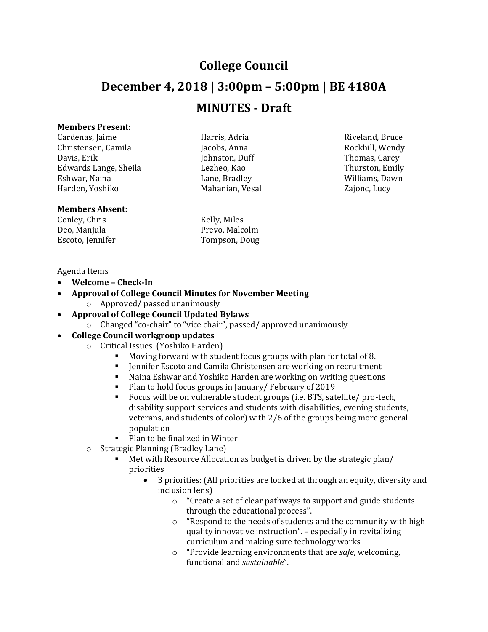# **College Council December 4, 2018 | 3:00pm – 5:00pm | BE 4180A MINUTES - Draft**

# **Members Present:**

Cardenas, Jaime **East Election Cardenas, Harris, Adria** Riveland, Bruce Riveland, Bruce Christensen, Camila Jacobs, Anna Rockhill, Wendy Davis, Erik **Iohnston, Duff** Thomas, Carey **Thomas**, Carey Edwards Lange, Sheila **Lezheo, Kao** Thurston, Emily Eshwar, Naina Lane, Bradley Williams, Dawn Harden, Yoshiko Mahanian, Vesal Zajonc, Lucy

### **Members Absent:**

Conley, Chris Kelly, Miles

Deo, Manjula Prevo, Malcolm Escoto, Jennifer Tompson, Doug

#### Agenda Items

- **Welcome – Check-In**
- **Approval of College Council Minutes for November Meeting** o Approved/ passed unanimously
- **Approval of College Council Updated Bylaws**
	- o Changed "co-chair" to "vice chair", passed/ approved unanimously

# **College Council workgroup updates**

- o Critical Issues (Yoshiko Harden)
	- Moving forward with student focus groups with plan for total of 8.
	- Jennifer Escoto and Camila Christensen are working on recruitment
	- Naina Eshwar and Yoshiko Harden are working on writing questions
	- **Plan to hold focus groups in January/ February of 2019**
	- Focus will be on vulnerable student groups (i.e. BTS, satellite/ pro-tech, disability support services and students with disabilities, evening students, veterans, and students of color) with 2/6 of the groups being more general population
	- Plan to be finalized in Winter
- o Strategic Planning (Bradley Lane)
	- Met with Resource Allocation as budget is driven by the strategic plan/ priorities
		- 3 priorities: (All priorities are looked at through an equity, diversity and inclusion lens)
			- o "Create a set of clear pathways to support and guide students through the educational process".
			- o "Respond to the needs of students and the community with high quality innovative instruction". – especially in revitalizing curriculum and making sure technology works
			- o "Provide learning environments that are *safe*, welcoming, functional and *sustainable*".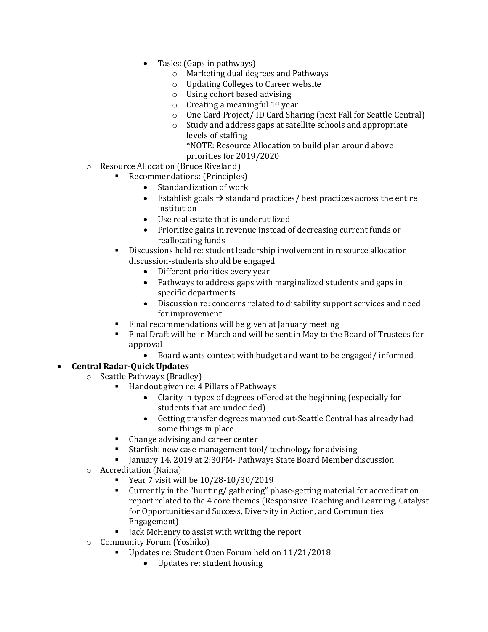- Tasks: (Gaps in pathways)
	- o Marketing dual degrees and Pathways
	- o Updating Colleges to Career website
	- o Using cohort based advising
	- $\circ$  Creating a meaningful 1<sup>st</sup> year
	- o One Card Project/ ID Card Sharing (next Fall for Seattle Central)
	- o Study and address gaps at satellite schools and appropriate levels of staffing \*NOTE: Resource Allocation to build plan around above priorities for 2019/2020
- o Resource Allocation (Bruce Riveland)
	- Recommendations: (Principles)
		- Standardization of work
		- Establish goals  $\rightarrow$  standard practices/ best practices across the entire institution
		- Use real estate that is underutilized
		- Prioritize gains in revenue instead of decreasing current funds or reallocating funds
	- Discussions held re: student leadership involvement in resource allocation discussion-students should be engaged
		- Different priorities every year
		- Pathways to address gaps with marginalized students and gaps in specific departments
		- Discussion re: concerns related to disability support services and need for improvement
	- Final recommendations will be given at January meeting
	- Final Draft will be in March and will be sent in May to the Board of Trustees for approval
		- Board wants context with budget and want to be engaged/ informed

# **Central Radar-Quick Updates**

- o Seattle Pathways (Bradley)
	- Handout given re: 4 Pillars of Pathways
		- Clarity in types of degrees offered at the beginning (especially for students that are undecided)
		- Getting transfer degrees mapped out-Seattle Central has already had some things in place
	- Change advising and career center
	- Starfish: new case management tool/ technology for advising
	- January 14, 2019 at 2:30PM- Pathways State Board Member discussion
- o Accreditation (Naina)
	- Year 7 visit will be 10/28-10/30/2019
	- Currently in the "hunting/ gathering" phase-getting material for accreditation report related to the 4 core themes (Responsive Teaching and Learning, Catalyst for Opportunities and Success, Diversity in Action, and Communities Engagement)
	- Jack McHenry to assist with writing the report
- o Community Forum (Yoshiko)
	- Updates re: Student Open Forum held on 11/21/2018
		- Updates re: student housing